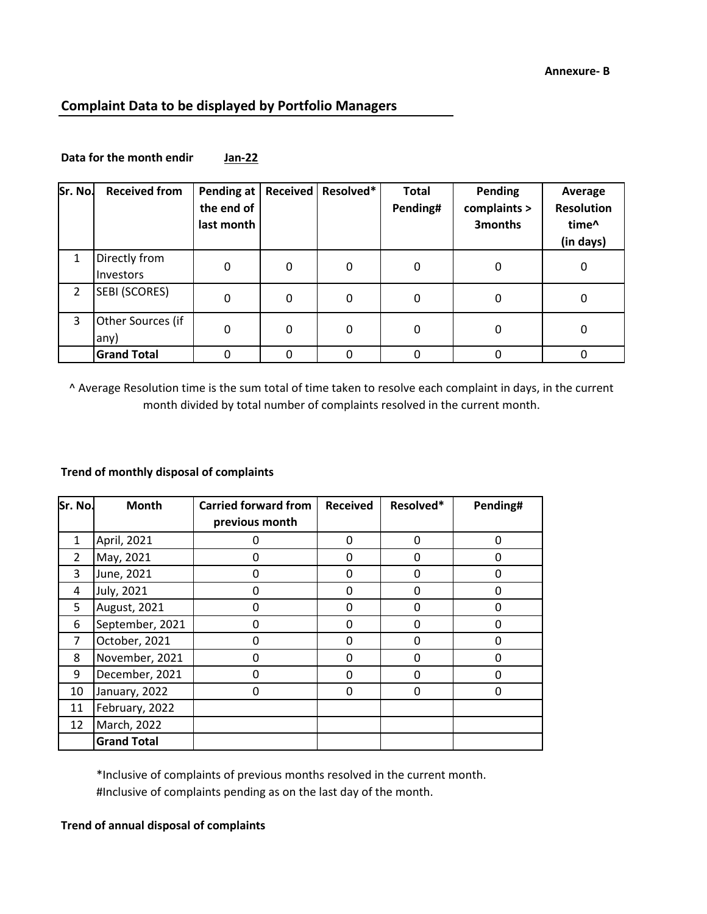## **Complaint Data to be displayed by Portfolio Managers**

| Sr. No.        | <b>Received from</b>       | <b>Pending at</b><br>the end of<br>last month | <b>Received</b> | Resolved* | <b>Total</b><br>Pending# | Pending<br>complaints ><br>3months | Average<br><b>Resolution</b><br>time <sup>^</sup><br>(in days) |
|----------------|----------------------------|-----------------------------------------------|-----------------|-----------|--------------------------|------------------------------------|----------------------------------------------------------------|
| 1              | Directly from<br>Investors | 0                                             | 0               | 0         | 0                        | 0                                  | 0                                                              |
| $\mathfrak{p}$ | SEBI (SCORES)              | 0                                             | 0               | 0         | 0                        | 0                                  | 0                                                              |
| 3              | Other Sources (if<br>any)  | 0                                             | 0               | 0         | 0                        | 0                                  | 0                                                              |
|                | <b>Grand Total</b>         |                                               | 0               |           |                          | 0                                  |                                                                |

Data for the month endir Jan-22

^ Average Resolution time is the sum total of time taken to resolve each complaint in days, in the current month divided by total number of complaints resolved in the current month.

## **Trend of monthly disposal of complaints**

| Sr. No.      | <b>Month</b>       | <b>Carried forward from</b> | <b>Received</b> | Resolved* | Pending# |
|--------------|--------------------|-----------------------------|-----------------|-----------|----------|
|              |                    | previous month              |                 |           |          |
| $\mathbf{1}$ | April, 2021        | 0                           | $\Omega$        | $\Omega$  | 0        |
| 2            | May, 2021          | 0                           | O               | O         | ŋ        |
| 3            | June, 2021         | 0                           | <sup>0</sup>    | O         | O        |
| 4            | July, 2021         | 0                           | O               | O         | O        |
| 5            | August, 2021       | O                           | $\Omega$        | O         | ŋ        |
| 6            | September, 2021    | n                           | O               | n         | O        |
| 7            | October, 2021      | 0                           | n               | O         | O        |
| 8            | November, 2021     | 0                           | O               | ი         | ი        |
| 9            | December, 2021     | 0                           | Ω               | O         | n        |
| 10           | January, 2022      | 0                           | 0               | 0         | 0        |
| 11           | February, 2022     |                             |                 |           |          |
| 12           | March, 2022        |                             |                 |           |          |
|              | <b>Grand Total</b> |                             |                 |           |          |

\*Inclusive of complaints of previous months resolved in the current month. #Inclusive of complaints pending as on the last day of the month.

## **Trend of annual disposal of complaints**